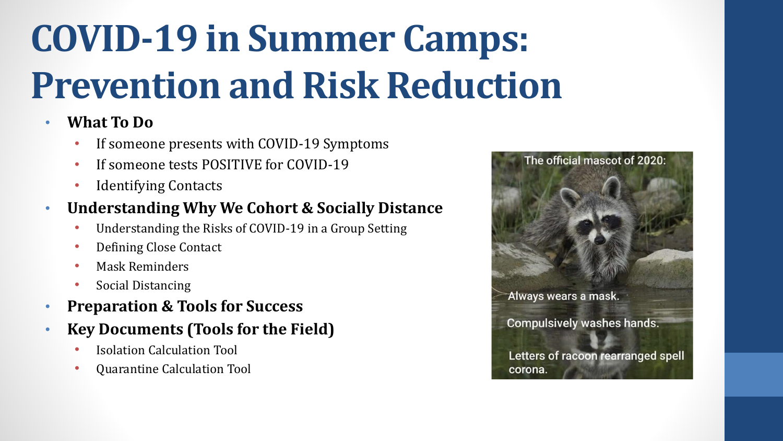# **COVID-19 in Summer Camps: Prevention and Risk Reduction**

### • **What To Do**

- If someone presents with COVID-19 Symptoms
- If someone tests POSITIVE for COVID-19
- Identifying Contacts

### • **Understanding Why We Cohort & Socially Distance**

- Understanding the Risks of COVID-19 in a Group Setting
- Defining Close Contact
- Mask Reminders
- Social Distancing
- **Preparation & Tools for Success**
- **Key Documents (Tools for the Field)**
	- Isolation Calculation Tool
	- Quarantine Calculation Tool

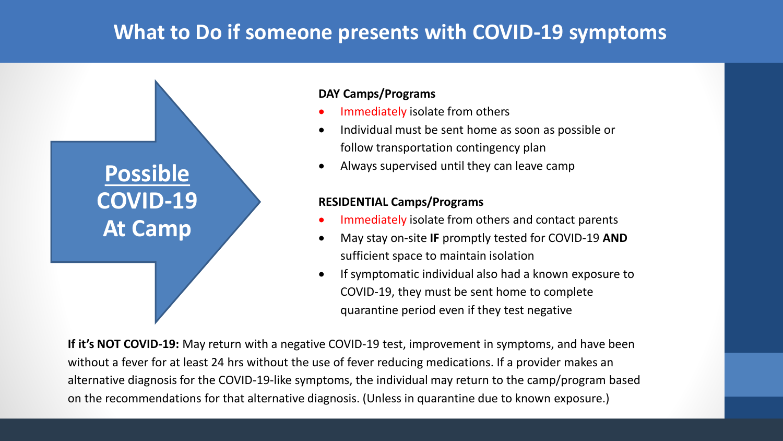### **What to Do if someone presents with COVID-19 symptoms**



#### **DAY Camps/Programs**

- Immediately isolate from others
- Individual must be sent home as soon as possible or follow transportation contingency plan
- Always supervised until they can leave camp

#### **RESIDENTIAL Camps/Programs**

- Immediately isolate from others and contact parents
- May stay on-site **IF** promptly tested for COVID-19 **AND** sufficient space to maintain isolation
- If symptomatic individual also had a known exposure to COVID-19, they must be sent home to complete quarantine period even if they test negative

**If it's NOT COVID-19:** May return with a negative COVID-19 test, improvement in symptoms, and have been without a fever for at least 24 hrs without the use of fever reducing medications. If a provider makes an alternative diagnosis for the COVID-19-like symptoms, the individual may return to the camp/program based on the recommendations for that alternative diagnosis. (Unless in quarantine due to known exposure.)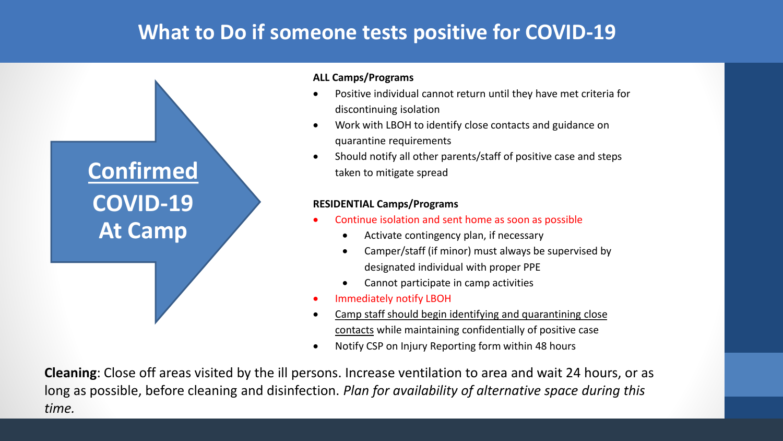### **What to Do if someone tests positive for COVID-19**



#### **ALL Camps/Programs**

- Positive individual cannot return until they have met criteria for discontinuing isolation
- Work with LBOH to identify close contacts and guidance on quarantine requirements
- Should notify all other parents/staff of positive case and steps taken to mitigate spread

#### **RESIDENTIAL Camps/Programs**

- Continue isolation and sent home as soon as possible
	- Activate contingency plan, if necessary
	- Camper/staff (if minor) must always be supervised by designated individual with proper PPE
	- Cannot participate in camp activities
- Immediately notify LBOH
- Camp staff should begin identifying and quarantining close contacts while maintaining confidentially of positive case
- Notify CSP on Injury Reporting form within 48 hours

**Cleaning**: Close off areas visited by the ill persons. Increase ventilation to area and wait 24 hours, or as long as possible, before cleaning and disinfection. *Plan for availability of alternative space during this time.*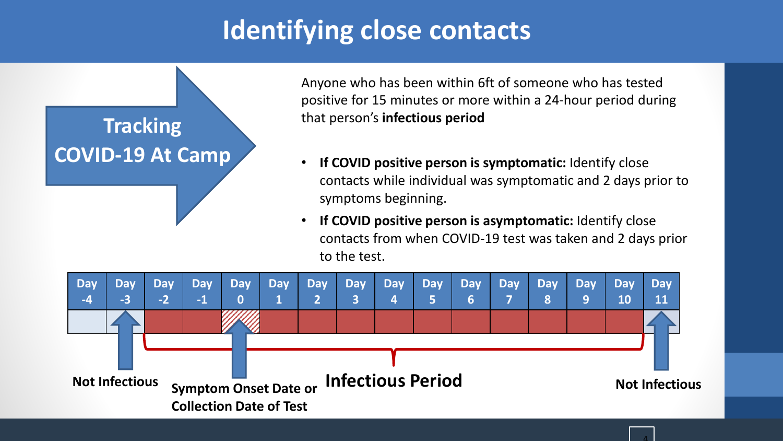## **Identifying close contacts**



Anyone who has been within 6ft of someone who has tested positive for 15 minutes or more within a 24-hour period during that person's **infectious period**

- **If COVID positive person is symptomatic:** Identify close contacts while individual was symptomatic and 2 days prior to symptoms beginning.
- **If COVID positive person is asymptomatic:** Identify close contacts from when COVID-19 test was taken and 2 days prior to the test.

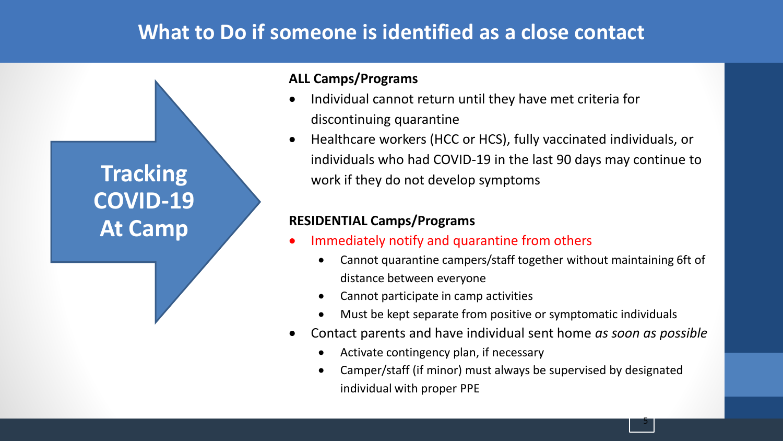### **What to Do if someone is identified as a close contact**

**Tracking COVID-19 At Camp**

#### **ALL Camps/Programs**

- Individual cannot return until they have met criteria for discontinuing quarantine
- Healthcare workers (HCC or HCS), fully vaccinated individuals, or individuals who had COVID-19 in the last 90 days may continue to work if they do not develop symptoms

#### **RESIDENTIAL Camps/Programs**

- Immediately notify and quarantine from others
	- Cannot quarantine campers/staff together without maintaining 6ft of distance between everyone
	- Cannot participate in camp activities
	- Must be kept separate from positive or symptomatic individuals
- Contact parents and have individual sent home *as soon as possible*
	- Activate contingency plan, if necessary
	- Camper/staff (if minor) must always be supervised by designated individual with proper PPE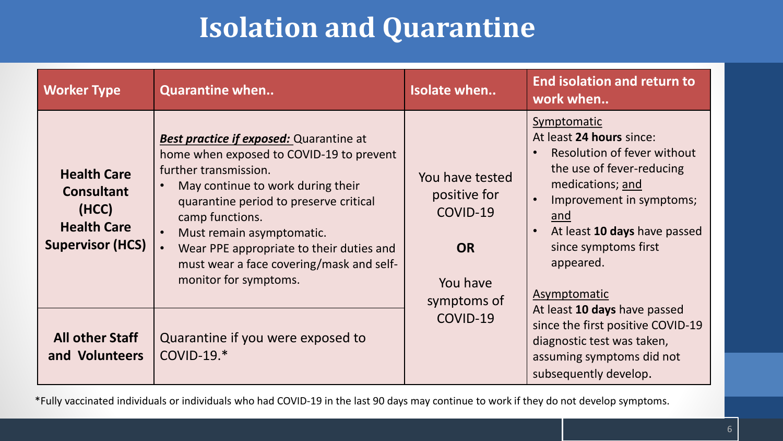## **Isolation and Quarantine**

| <b>Worker Type</b>                                                                                | <b>Quarantine when</b>                                                                                                                                                                                                                                                                                                                                              | <b>Isolate when</b>                                                                 | <b>End isolation and return to</b><br>work when                                                                                                                                                                                                 |
|---------------------------------------------------------------------------------------------------|---------------------------------------------------------------------------------------------------------------------------------------------------------------------------------------------------------------------------------------------------------------------------------------------------------------------------------------------------------------------|-------------------------------------------------------------------------------------|-------------------------------------------------------------------------------------------------------------------------------------------------------------------------------------------------------------------------------------------------|
| <b>Health Care</b><br><b>Consultant</b><br>(HCC)<br><b>Health Care</b><br><b>Supervisor (HCS)</b> | <b>Best practice if exposed:</b> Quarantine at<br>home when exposed to COVID-19 to prevent<br>further transmission.<br>May continue to work during their<br>quarantine period to preserve critical<br>camp functions.<br>Must remain asymptomatic.<br>Wear PPE appropriate to their duties and<br>must wear a face covering/mask and self-<br>monitor for symptoms. | You have tested<br>positive for<br>COVID-19<br><b>OR</b><br>You have<br>symptoms of | Symptomatic<br>At least 24 hours since:<br>Resolution of fever without<br>the use of fever-reducing<br>medications; and<br>Improvement in symptoms;<br>and<br>At least 10 days have passed<br>since symptoms first<br>appeared.<br>Asymptomatic |
| <b>All other Staff</b><br>and Volunteers                                                          | Quarantine if you were exposed to<br>$COVID-19.*$                                                                                                                                                                                                                                                                                                                   | COVID-19                                                                            | At least 10 days have passed<br>since the first positive COVID-19<br>diagnostic test was taken,<br>assuming symptoms did not<br>subsequently develop.                                                                                           |

\*Fully vaccinated individuals or individuals who had COVID-19 in the last 90 days may continue to work if they do not develop symptoms.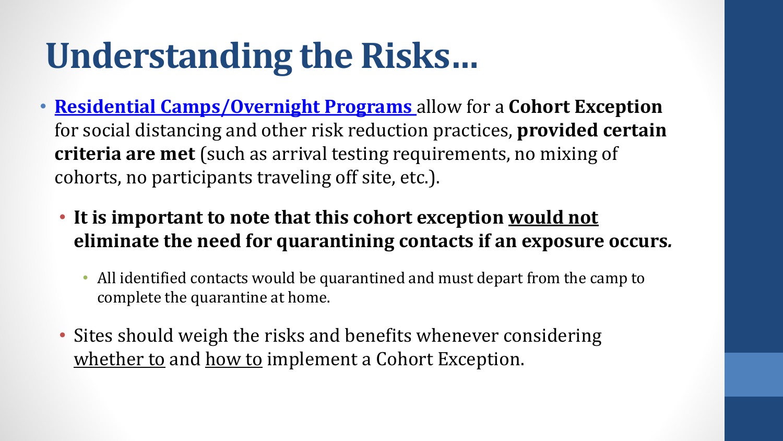# **Understanding the Risks…**

- **[Residential Camps/Overnight Programs](https://www.mass.gov/doc/recreational-camps-and-https:/www.mass.gov/doc/recreational-camps-and-programs-health-and-safety-standards-for-reopening/downloadprograms-health-and-safety-standards-for-reopening/download)** allow for a **Cohort Exception**  for social distancing and other risk reduction practices, **provided certain criteria are met** (such as arrival testing requirements, no mixing of cohorts, no participants traveling off site, etc.).
	- **It is important to note that this cohort exception would not eliminate the need for quarantining contacts if an exposure occurs***.* 
		- All identified contacts would be quarantined and must depart from the camp to complete the quarantine at home.
	- Sites should weigh the risks and benefits whenever considering whether to and how to implement a Cohort Exception.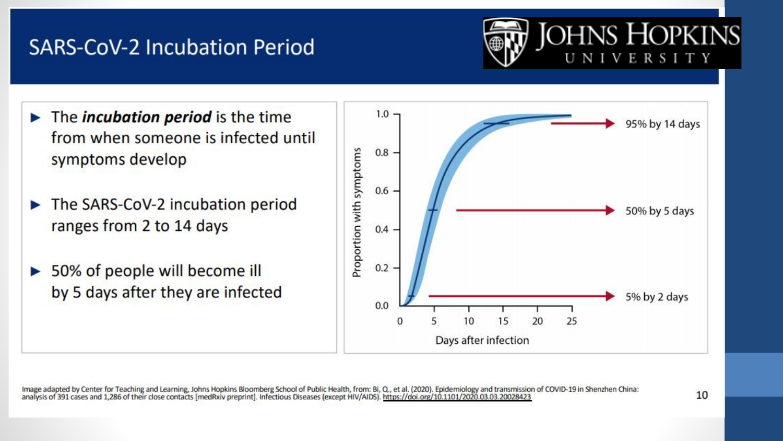### **SARS-CoV-2 Incubation Period**



- $\blacktriangleright$  The *incubation period* is the time from when someone is infected until symptoms develop
- The SARS-CoV-2 incubation period ranges from 2 to 14 days
- > 50% of people will become ill by 5 days after they are infected



Image adapted by Center for Teaching and Learning, Johns Hopkins Bloomberg School of Public Health, from: Bi, Q., et al. (2020). Epidemiology and transmission of COVID-19 in Shenzhen China: analysis of 391 cases and 1,286 of their close contacts [medRxiv preprint]. Infectious Diseases (except HIV/AIDS). https://doi.org/10.1101/2020.03.03.20028423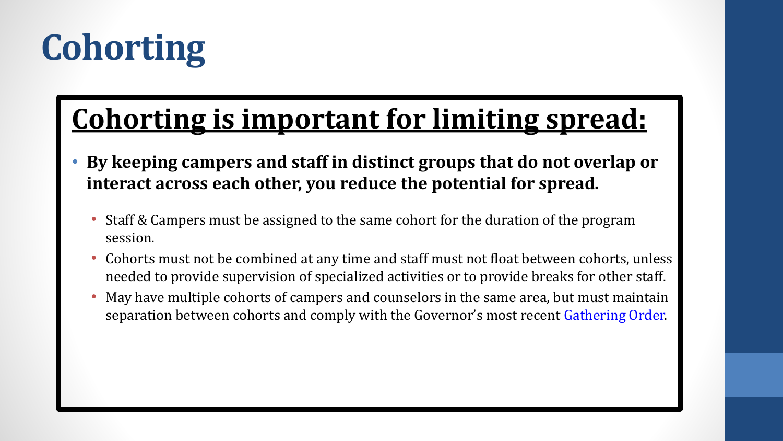# **Cohorting**

## **Cohorting is important for limiting spread:**

- **By keeping campers and staff in distinct groups that do not overlap or interact across each other, you reduce the potential for spread.**
	- Staff & Campers must be assigned to the same cohort for the duration of the program session.
	- Cohorts must not be combined at any time and staff must not float between cohorts, unless needed to provide supervision of specialized activities or to provide breaks for other staff.
	- May have multiple cohorts of campers and counselors in the same area, but must maintain separation between cohorts and comply with the Governor's most recent [Gathering Order.](https://www.mass.gov/info-details/covid-19-state-of-emergency#limits-on-gatherings-)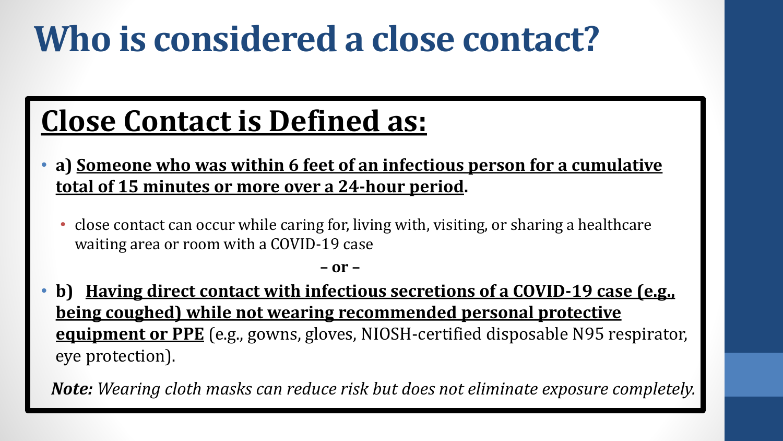# **Who is considered a close contact?**

## **Close Contact is Defined as:**

- **a) Someone who was within 6 feet of an infectious person for a cumulative total of 15 minutes or more over a 24-hour period.**
	- close contact can occur while caring for, living with, visiting, or sharing a healthcare waiting area or room with a COVID-19 case

**– or –**

• **b) Having direct contact with infectious secretions of a COVID-19 case (e.g., being coughed) while not wearing recommended personal protective equipment or PPE** (e.g., gowns, gloves, NIOSH-certified disposable N95 respirator, eye protection).

*Note: Wearing cloth masks can reduce risk but does not eliminate exposure completely.*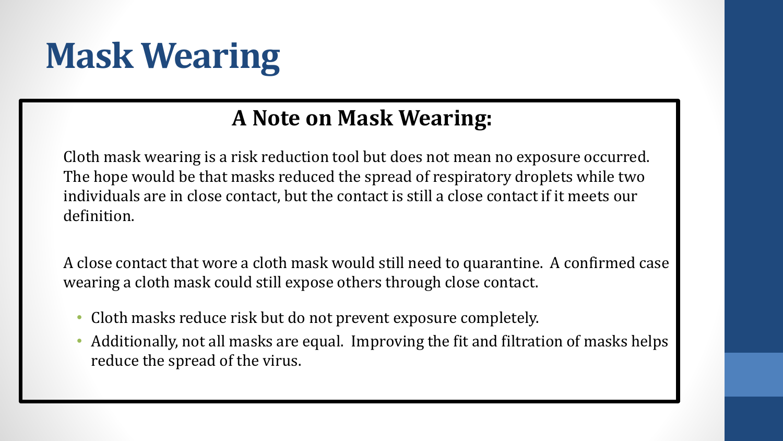# **Mask Wearing**

### **A Note on Mask Wearing:**

Cloth mask wearing is a risk reduction tool but does not mean no exposure occurred. The hope would be that masks reduced the spread of respiratory droplets while two individuals are in close contact, but the contact is still a close contact if it meets our definition.

A close contact that wore a cloth mask would still need to quarantine. A confirmed case wearing a cloth mask could still expose others through close contact.

- Cloth masks reduce risk but do not prevent exposure completely.
- Additionally, not all masks are equal. Improving the fit and filtration of masks helps reduce the spread of the virus.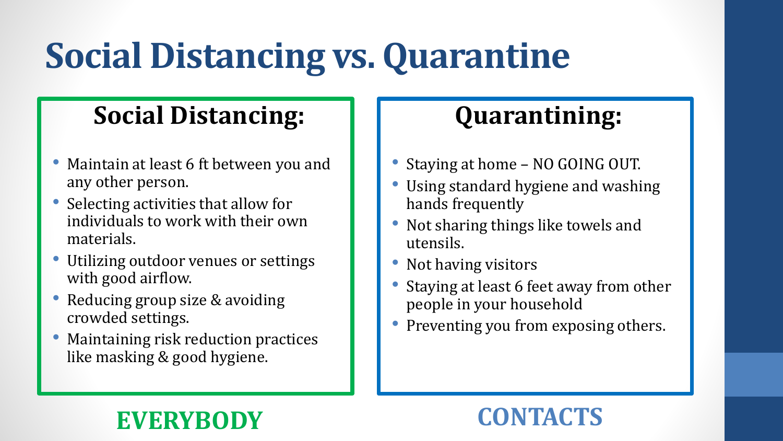# **Social Distancing vs. Quarantine**

## **Social Distancing:**

- Maintain at least 6 ft between you and any other person.
- Selecting activities that allow for individuals to work with their own materials.
- Utilizing outdoor venues or settings with good airflow.
- Reducing group size & avoiding crowded settings.
- Maintaining risk reduction practices like masking & good hygiene.

## **Quarantining:**

- Staying at home NO GOING OUT.
- Using standard hygiene and washing hands frequently
- Not sharing things like towels and utensils.
- Not having visitors
- Staying at least 6 feet away from other people in your household
- Preventing you from exposing others.

## **EVERYBODY CONTACTS**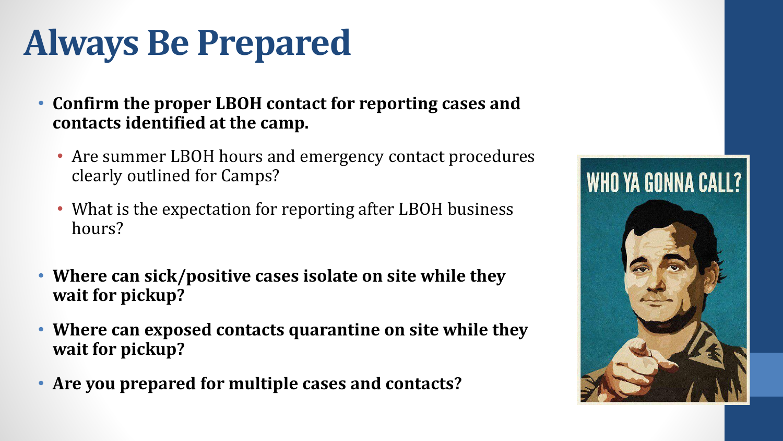# **Always Be Prepared**

- **Confirm the proper LBOH contact for reporting cases and contacts identified at the camp.**
	- Are summer LBOH hours and emergency contact procedures clearly outlined for Camps?
	- What is the expectation for reporting after LBOH business hours?
- **Where can sick/positive cases isolate on site while they wait for pickup?**
- **Where can exposed contacts quarantine on site while they wait for pickup?**
- **Are you prepared for multiple cases and contacts?**

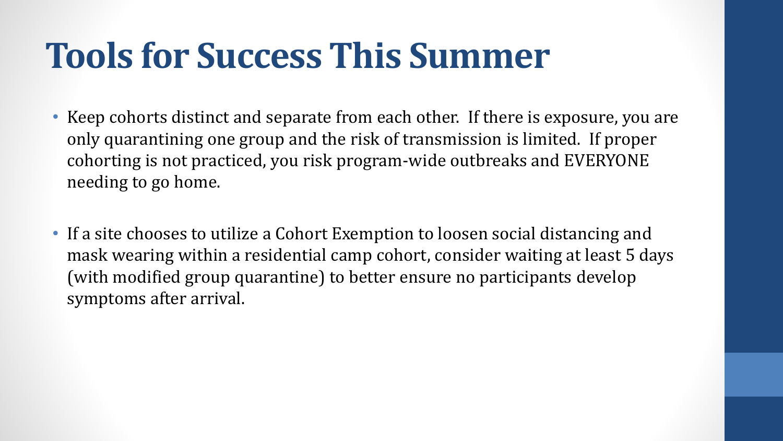## **Tools for Success This Summer**

- Keep cohorts distinct and separate from each other. If there is exposure, you are only quarantining one group and the risk of transmission is limited. If proper cohorting is not practiced, you risk program-wide outbreaks and EVERYONE needing to go home.
- If a site chooses to utilize a Cohort Exemption to loosen social distancing and mask wearing within a residential camp cohort, consider waiting at least 5 days (with modified group quarantine) to better ensure no participants develop symptoms after arrival.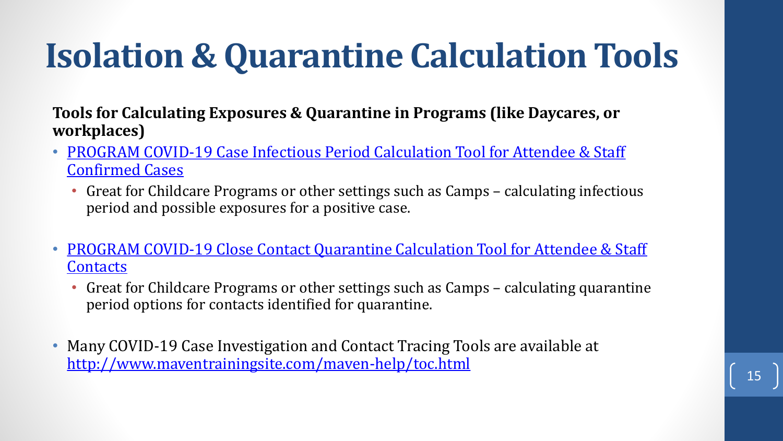# **Isolation & Quarantine Calculation Tools**

**Tools for Calculating Exposures & Quarantine in Programs (like Daycares, or workplaces)**

- PROGRAM COVID-19 Case Infectious Period Calculation Tool for Attendee & Staff Confirmed Cases
	- Great for Childcare Programs or other settings such as Camps calculating infectious period and possible exposures for a positive case.
- PROGRAM COVID-19 Close Contact Quarantine Calculation Tool for Attendee & Staff **Contacts** 
	- Great for Childcare Programs or other settings such as Camps calculating quarantine period options for contacts identified for quarantine.
- Many COVID-19 Case Investigation and Contact Tracing Tools are available at <http://www.maventrainingsite.com/maven-help/toc.html>